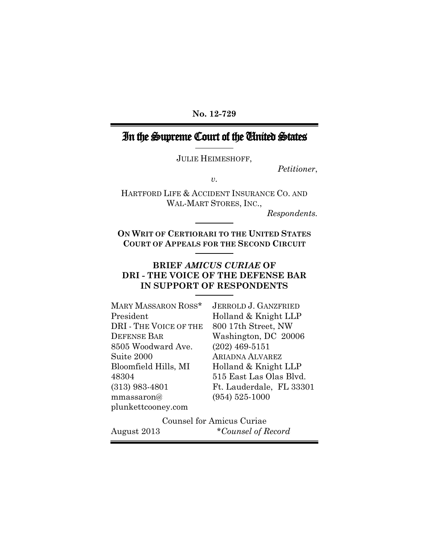**No. 12-729**

# In the Supreme Court of the United States

JULIE HEIMESHOFF,

*Petitioner*,

*v.*

HARTFORD LIFE & ACCIDENT INSURANCE CO. AND WAL-MART STORES, INC.,

*Respondents.*

**ON WRIT OF CERTIORARI TO THE UNITED STATES COURT OF APPEALS FOR THE SECOND CIRCUIT**

#### **BRIEF** *AMICUS CURIAE* **OF DRI - THE VOICE OF THE DEFENSE BAR IN SUPPORT OF RESPONDENTS**

| MARY MASSARON ROSS*    | <b>JERROLD J. GANZFRIED</b> |
|------------------------|-----------------------------|
| President              | Holland & Knight LLP        |
| DRI - THE VOICE OF THE | 800 17th Street, NW         |
| <b>DEFENSE BAR</b>     | Washington, DC 20006        |
| 8505 Woodward Ave.     | $(202)$ 469-5151            |
| Suite 2000             | <b>ARIADNA ALVAREZ</b>      |
| Bloomfield Hills, MI   | Holland & Knight LLP        |
| 48304                  | 515 East Las Olas Blvd.     |
| $(313)$ 983-4801       | Ft. Lauderdale, FL 33301    |
| mmassaron@             | $(954) 525 - 1000$          |
| plunkettcooney.com     |                             |

Counsel for Amicus Curiae August 2013 \**Counsel of Record*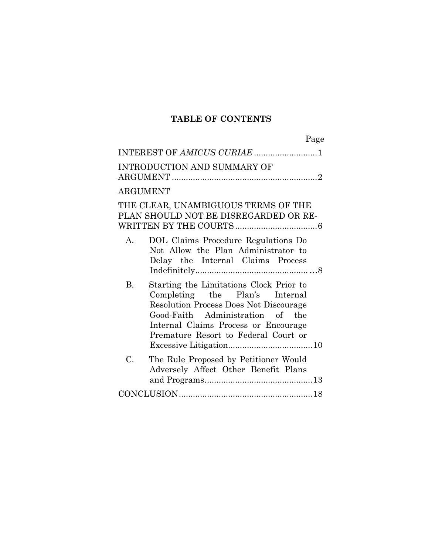## **TABLE OF CONTENTS**

| Page                                                                                                                                                                                                                                                 |
|------------------------------------------------------------------------------------------------------------------------------------------------------------------------------------------------------------------------------------------------------|
|                                                                                                                                                                                                                                                      |
| <b>INTRODUCTION AND SUMMARY OF</b>                                                                                                                                                                                                                   |
| <b>ARGUMENT</b>                                                                                                                                                                                                                                      |
| THE CLEAR, UNAMBIGUOUS TERMS OF THE<br>PLAN SHOULD NOT BE DISREGARDED OR RE-                                                                                                                                                                         |
| DOL Claims Procedure Regulations Do<br>$A_{-}$<br>Not Allow the Plan Administrator to<br>Delay the Internal Claims Process                                                                                                                           |
| Starting the Limitations Clock Prior to<br>B.<br>Completing the Plan's Internal<br><b>Resolution Process Does Not Discourage</b><br>Good-Faith Administration of the<br>Internal Claims Process or Encourage<br>Premature Resort to Federal Court or |
| $C_{\cdot}$<br>The Rule Proposed by Petitioner Would<br>Adversely Affect Other Benefit Plans                                                                                                                                                         |
|                                                                                                                                                                                                                                                      |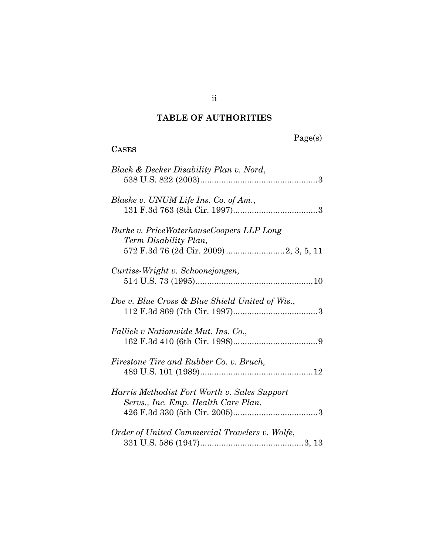# **TABLE OF AUTHORITIES**

# Page(s)

### **CASES**

| Black & Decker Disability Plan v. Nord,                                             |  |
|-------------------------------------------------------------------------------------|--|
| Blaske v. UNUM Life Ins. Co. of Am.,                                                |  |
| Burke v. PriceWaterhouseCoopers LLP Long<br>Term Disability Plan,                   |  |
| Curtiss-Wright v. Schoonejongen,                                                    |  |
| Doe v. Blue Cross & Blue Shield United of Wis.,                                     |  |
| Fallick v Nationwide Mut. Ins. Co.,                                                 |  |
| Firestone Tire and Rubber Co. v. Bruch,                                             |  |
| Harris Methodist Fort Worth v. Sales Support<br>Servs., Inc. Emp. Health Care Plan, |  |
| Order of United Commercial Travelers v. Wolfe,                                      |  |

ii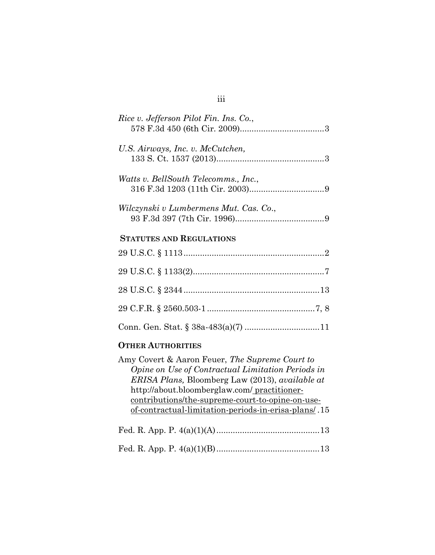|--|--|--|

iii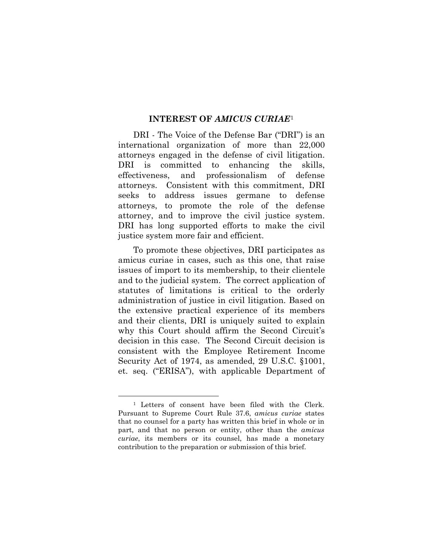#### **INTEREST OF** *AMICUS CURIAE*[1](#page-5-0)

DRI - The Voice of the Defense Bar ("DRI") is an international organization of more than 22,000 attorneys engaged in the defense of civil litigation. DRI is committed to enhancing the skills, effectiveness, and professionalism of defense attorneys. Consistent with this commitment, DRI seeks to address issues germane to defense attorneys, to promote the role of the defense attorney, and to improve the civil justice system. DRI has long supported efforts to make the civil justice system more fair and efficient.

To promote these objectives, DRI participates as amicus curiae in cases, such as this one, that raise issues of import to its membership, to their clientele and to the judicial system. The correct application of statutes of limitations is critical to the orderly administration of justice in civil litigation. Based on the extensive practical experience of its members and their clients, DRI is uniquely suited to explain why this Court should affirm the Second Circuit's decision in this case. The Second Circuit decision is consistent with the Employee Retirement Income Security Act of 1974, as amended, 29 U.S.C. §1001, et. seq. ("ERISA"), with applicable Department of

<span id="page-5-0"></span><sup>—</sup> <sup>1</sup> Letters of consent have been filed with the Clerk. Pursuant to Supreme Court Rule 37.6, *amicus curiae* states that no counsel for a party has written this brief in whole or in part, and that no person or entity, other than the *amicus curiae*, its members or its counsel, has made a monetary contribution to the preparation or submission of this brief.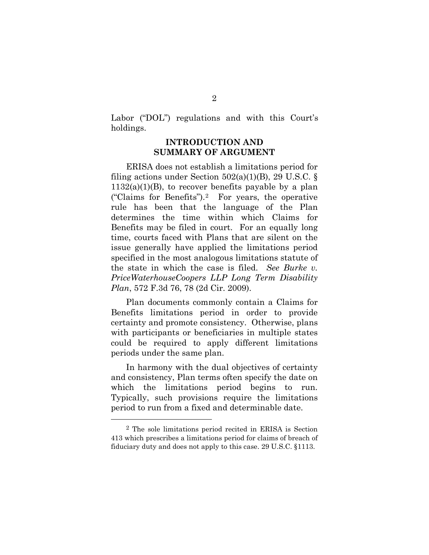Labor ("DOL") regulations and with this Court's holdings.

### **INTRODUCTION AND SUMMARY OF ARGUMENT**

ERISA does not establish a limitations period for filing actions under Section  $502(a)(1)(B)$ , 29 U.S.C. §  $1132(a)(1)(B)$ , to recover benefits payable by a plan ("Claims for Benefits").[2](#page-6-0) For years, the operative rule has been that the language of the Plan determines the time within which Claims for Benefits may be filed in court. For an equally long time, courts faced with Plans that are silent on the issue generally have applied the limitations period specified in the most analogous limitations statute of the state in which the case is filed. *See Burke v. PriceWaterhouseCoopers LLP Long Term Disability Plan*, 572 F.3d 76, 78 (2d Cir. 2009).

Plan documents commonly contain a Claims for Benefits limitations period in order to provide certainty and promote consistency. Otherwise, plans with participants or beneficiaries in multiple states could be required to apply different limitations periods under the same plan.

In harmony with the dual objectives of certainty and consistency, Plan terms often specify the date on which the limitations period begins to run. Typically, such provisions require the limitations period to run from a fixed and determinable date.

Ĩ.

<span id="page-6-0"></span><sup>2</sup> The sole limitations period recited in ERISA is Section 413 which prescribes a limitations period for claims of breach of fiduciary duty and does not apply to this case. 29 U.S.C. §1113.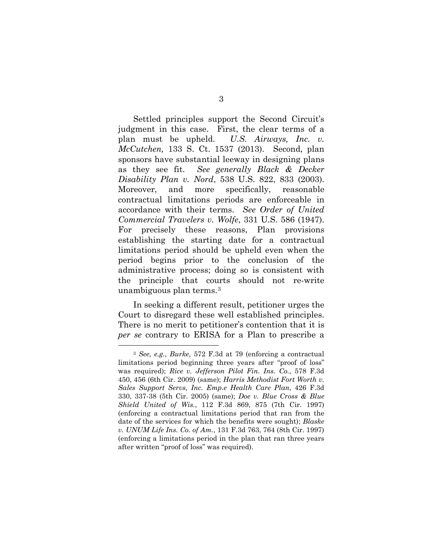Settled principles support the Second Circuit's judgment in this case. First, the clear terms of a plan must be upheld. *U.S. Airways, Inc. v. McCutchen,* 133 S. Ct. 1537 (2013). Second, plan sponsors have substantial leeway in designing plans as they see fit. *See generally Black & Decker Disability Plan v. Nord*, 538 U.S. 822, 833 (2003). Moreover, and more specifically, reasonable contractual limitations periods are enforceable in accordance with their terms. *See Order of United Commercial Travelers v. Wolfe*, 331 U.S. 586 (1947). For precisely these reasons, Plan provisions establishing the starting date for a contractual limitations period should be upheld even when the period begins prior to the conclusion of the administrative process; doing so is consistent with the principle that courts should not re-write unambiguous plan terms.[3](#page-7-0)

In seeking a different result, petitioner urges the Court to disregard these well established principles. There is no merit to petitioner's contention that it is *per se* contrary to ERISA for a Plan to prescribe a

—

<span id="page-7-0"></span><sup>3</sup> *See, e.g., Burke,* 572 F.3d at 79 (enforcing a contractual limitations period beginning three years after "proof of loss" was required); *Rice v. Jefferson Pilot Fin. Ins. Co.*, 578 F.3d 450, 456 (6th Cir. 2009) (same); *Harris Methodist Fort Worth v. Sales Support Servs, Inc. Emp.e Health Care Plan*, 426 F.3d 330, 337-38 (5th Cir. 2005) (same); *Doe v. Blue Cross & Blue Shield United of Wis.*, 112 F.3d 869, 875 (7th Cir. 1997) (enforcing a contractual limitations period that ran from the date of the services for which the benefits were sought); *Blaske v. UNUM Life Ins. Co. of Am.*, 131 F.3d 763, 764 (8th Cir. 1997) (enforcing a limitations period in the plan that ran three years after written "proof of loss" was required).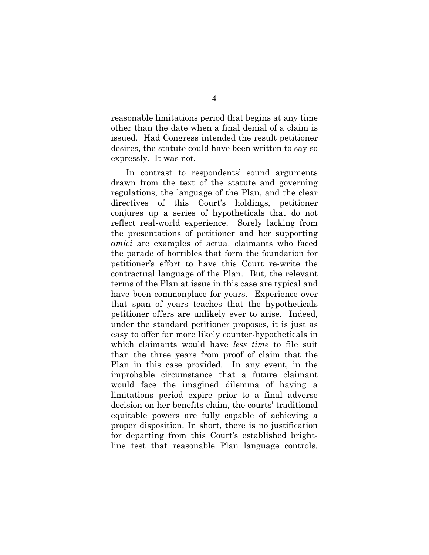reasonable limitations period that begins at any time other than the date when a final denial of a claim is issued. Had Congress intended the result petitioner desires, the statute could have been written to say so expressly. It was not.

In contrast to respondents' sound arguments drawn from the text of the statute and governing regulations, the language of the Plan, and the clear directives of this Court's holdings, petitioner conjures up a series of hypotheticals that do not reflect real-world experience. Sorely lacking from the presentations of petitioner and her supporting *amici* are examples of actual claimants who faced the parade of horribles that form the foundation for petitioner's effort to have this Court re-write the contractual language of the Plan. But, the relevant terms of the Plan at issue in this case are typical and have been commonplace for years. Experience over that span of years teaches that the hypotheticals petitioner offers are unlikely ever to arise. Indeed, under the standard petitioner proposes, it is just as easy to offer far more likely counter-hypotheticals in which claimants would have *less time* to file suit than the three years from proof of claim that the Plan in this case provided. In any event, in the improbable circumstance that a future claimant would face the imagined dilemma of having a limitations period expire prior to a final adverse decision on her benefits claim, the courts' traditional equitable powers are fully capable of achieving a proper disposition. In short, there is no justification for departing from this Court's established brightline test that reasonable Plan language controls.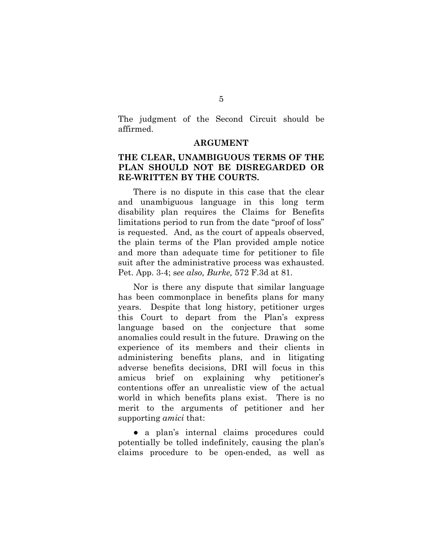The judgment of the Second Circuit should be affirmed.

#### **ARGUMENT**

#### **THE CLEAR, UNAMBIGUOUS TERMS OF THE PLAN SHOULD NOT BE DISREGARDED OR RE-WRITTEN BY THE COURTS.**

There is no dispute in this case that the clear and unambiguous language in this long term disability plan requires the Claims for Benefits limitations period to run from the date "proof of loss" is requested. And, as the court of appeals observed, the plain terms of the Plan provided ample notice and more than adequate time for petitioner to file suit after the administrative process was exhausted. Pet. App. 3-4; s*ee also, Burke,* 572 F.3d at 81.

Nor is there any dispute that similar language has been commonplace in benefits plans for many years. Despite that long history, petitioner urges this Court to depart from the Plan's express language based on the conjecture that some anomalies could result in the future. Drawing on the experience of its members and their clients in administering benefits plans, and in litigating adverse benefits decisions, DRI will focus in this amicus brief on explaining why petitioner's contentions offer an unrealistic view of the actual world in which benefits plans exist. There is no merit to the arguments of petitioner and her supporting *amici* that:

• a plan's internal claims procedures could potentially be tolled indefinitely, causing the plan's claims procedure to be open-ended, as well as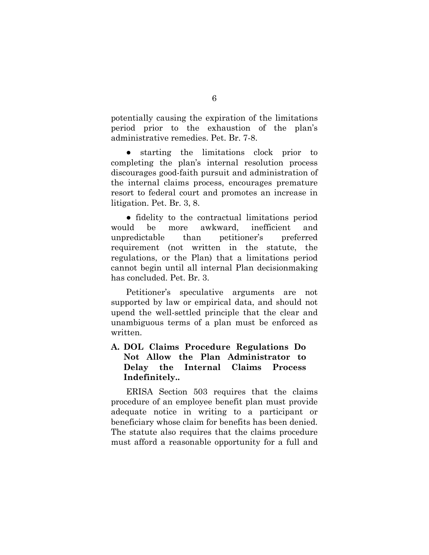potentially causing the expiration of the limitations period prior to the exhaustion of the plan's administrative remedies. Pet. Br. 7-8.

● starting the limitations clock prior to completing the plan's internal resolution process discourages good-faith pursuit and administration of the internal claims process, encourages premature resort to federal court and promotes an increase in litigation. Pet. Br. 3, 8.

● fidelity to the contractual limitations period would be more awkward, inefficient and unpredictable than petitioner's preferred requirement (not written in the statute, the regulations, or the Plan) that a limitations period cannot begin until all internal Plan decisionmaking has concluded. Pet. Br. 3.

Petitioner's speculative arguments are not supported by law or empirical data, and should not upend the well-settled principle that the clear and unambiguous terms of a plan must be enforced as written.

### **A. DOL Claims Procedure Regulations Do Not Allow the Plan Administrator to Delay the Internal Claims Process Indefinitely..**

ERISA Section 503 requires that the claims procedure of an employee benefit plan must provide adequate notice in writing to a participant or beneficiary whose claim for benefits has been denied. The statute also requires that the claims procedure must afford a reasonable opportunity for a full and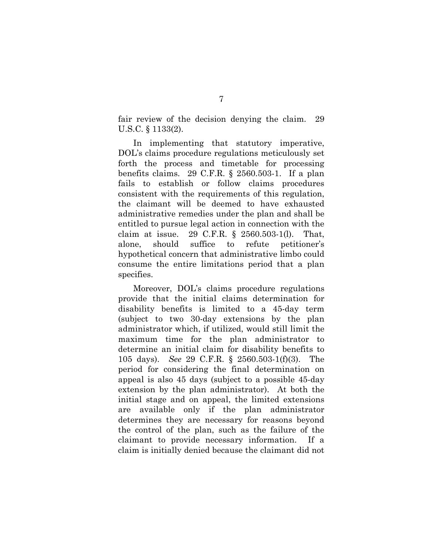fair review of the decision denying the claim. 29 U.S.C. § 1133(2).

In implementing that statutory imperative, DOL's claims procedure regulations meticulously set forth the process and timetable for processing benefits claims. 29 C.F.R. § 2560.503-1. If a plan fails to establish or follow claims procedures consistent with the requirements of this regulation, the claimant will be deemed to have exhausted administrative remedies under the plan and shall be entitled to pursue legal action in connection with the claim at issue. 29 C.F.R. § 2560.503-1(l). That, alone, should suffice to refute petitioner's hypothetical concern that administrative limbo could consume the entire limitations period that a plan specifies.

Moreover, DOL's claims procedure regulations provide that the initial claims determination for disability benefits is limited to a 45-day term (subject to two 30-day extensions by the plan administrator which, if utilized, would still limit the maximum time for the plan administrator to determine an initial claim for disability benefits to 105 days). *See* 29 C.F.R. § 2560.503-1(f)(3). The period for considering the final determination on appeal is also 45 days (subject to a possible 45-day extension by the plan administrator). At both the initial stage and on appeal, the limited extensions are available only if the plan administrator determines they are necessary for reasons beyond the control of the plan, such as the failure of the claimant to provide necessary information. If a claim is initially denied because the claimant did not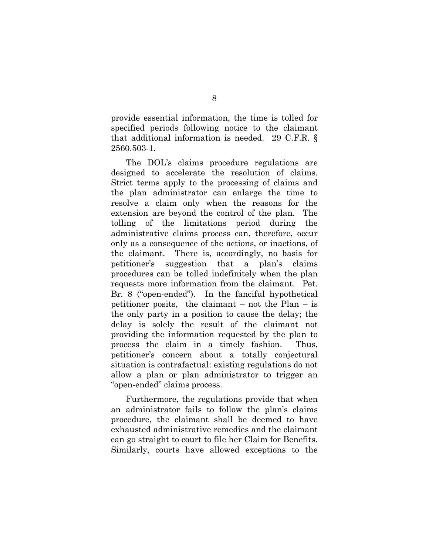provide essential information, the time is tolled for specified periods following notice to the claimant that additional information is needed. 29 C.F.R. § 2560.503-1.

The DOL's claims procedure regulations are designed to accelerate the resolution of claims. Strict terms apply to the processing of claims and the plan administrator can enlarge the time to resolve a claim only when the reasons for the extension are beyond the control of the plan. The tolling of the limitations period during the administrative claims process can, therefore, occur only as a consequence of the actions, or inactions, of the claimant. There is, accordingly, no basis for petitioner's suggestion that a plan's claims procedures can be tolled indefinitely when the plan requests more information from the claimant. Pet. Br. 8 ("open-ended"). In the fanciful hypothetical petitioner posits, the claimant – not the Plan – is the only party in a position to cause the delay; the delay is solely the result of the claimant not providing the information requested by the plan to process the claim in a timely fashion. Thus, petitioner's concern about a totally conjectural situation is contrafactual: existing regulations do not allow a plan or plan administrator to trigger an "open-ended" claims process.

Furthermore, the regulations provide that when an administrator fails to follow the plan's claims procedure, the claimant shall be deemed to have exhausted administrative remedies and the claimant can go straight to court to file her Claim for Benefits. Similarly, courts have allowed exceptions to the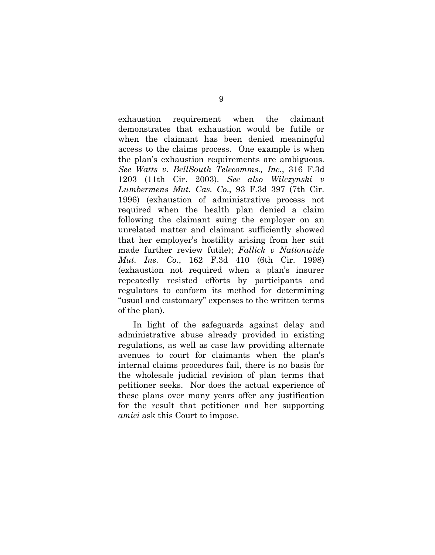exhaustion requirement when the claimant demonstrates that exhaustion would be futile or when the claimant has been denied meaningful access to the claims process. One example is when the plan's exhaustion requirements are ambiguous. *See Watts v. BellSouth Telecomms., Inc.*, 316 F.3d 1203 (11th Cir. 2003). *See also Wilczynski v Lumbermens Mut. Cas. Co*., 93 F.3d 397 (7th Cir. 1996) (exhaustion of administrative process not required when the health plan denied a claim following the claimant suing the employer on an unrelated matter and claimant sufficiently showed that her employer's hostility arising from her suit made further review futile); *Fallick v Nationwide Mut. Ins. Co*., 162 F.3d 410 (6th Cir. 1998) (exhaustion not required when a plan's insurer repeatedly resisted efforts by participants and regulators to conform its method for determining "usual and customary" expenses to the written terms of the plan).

In light of the safeguards against delay and administrative abuse already provided in existing regulations, as well as case law providing alternate avenues to court for claimants when the plan's internal claims procedures fail, there is no basis for the wholesale judicial revision of plan terms that petitioner seeks. Nor does the actual experience of these plans over many years offer any justification for the result that petitioner and her supporting *amici* ask this Court to impose.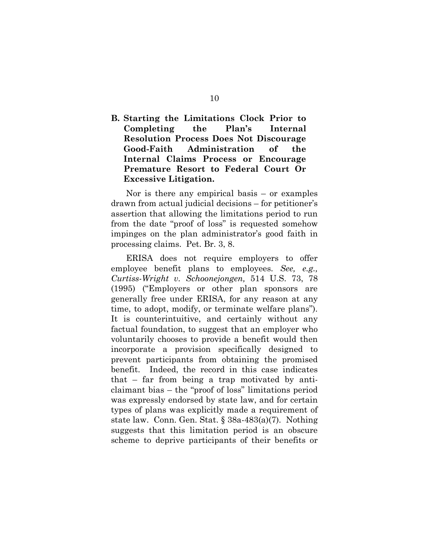### **B. Starting the Limitations Clock Prior to Completing the Plan's Internal Resolution Process Does Not Discourage Good-Faith Administration of the Internal Claims Process or Encourage Premature Resort to Federal Court Or Excessive Litigation.**

Nor is there any empirical basis – or examples drawn from actual judicial decisions – for petitioner's assertion that allowing the limitations period to run from the date "proof of loss" is requested somehow impinges on the plan administrator's good faith in processing claims. Pet. Br. 3, 8.

ERISA does not require employers to offer employee benefit plans to employees. *See, e.g., Curtiss-Wright v. Schoonejongen,* 514 U.S. 73, 78 (1995) ("Employers or other plan sponsors are generally free under ERISA, for any reason at any time, to adopt, modify, or terminate welfare plans"). It is counterintuitive, and certainly without any factual foundation, to suggest that an employer who voluntarily chooses to provide a benefit would then incorporate a provision specifically designed to prevent participants from obtaining the promised benefit. Indeed, the record in this case indicates that – far from being a trap motivated by anticlaimant bias – the "proof of loss" limitations period was expressly endorsed by state law, and for certain types of plans was explicitly made a requirement of state law. Conn. Gen. Stat. § 38a-483(a)(7). Nothing suggests that this limitation period is an obscure scheme to deprive participants of their benefits or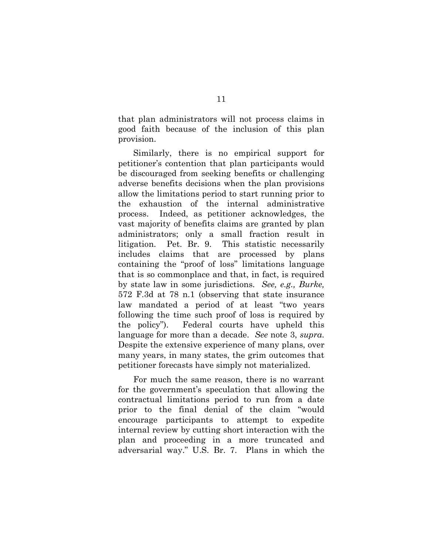that plan administrators will not process claims in good faith because of the inclusion of this plan provision.

Similarly, there is no empirical support for petitioner's contention that plan participants would be discouraged from seeking benefits or challenging adverse benefits decisions when the plan provisions allow the limitations period to start running prior to the exhaustion of the internal administrative process. Indeed, as petitioner acknowledges, the vast majority of benefits claims are granted by plan administrators; only a small fraction result in litigation. Pet. Br. 9. This statistic necessarily includes claims that are processed by plans containing the "proof of loss" limitations language that is so commonplace and that, in fact, is required by state law in some jurisdictions. *See, e.g., Burke,*  572 F.3d at 78 n.1 (observing that state insurance law mandated a period of at least "two years following the time such proof of loss is required by the policy"). Federal courts have upheld this language for more than a decade. *See* note 3, *supra*. Despite the extensive experience of many plans, over many years, in many states, the grim outcomes that petitioner forecasts have simply not materialized.

For much the same reason, there is no warrant for the government's speculation that allowing the contractual limitations period to run from a date prior to the final denial of the claim "would encourage participants to attempt to expedite internal review by cutting short interaction with the plan and proceeding in a more truncated and adversarial way." U.S. Br. 7. Plans in which the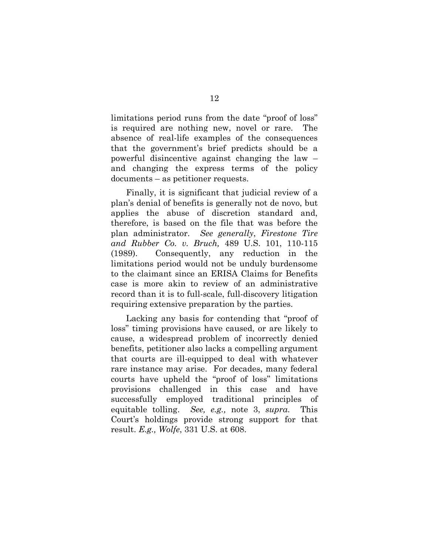limitations period runs from the date "proof of loss" is required are nothing new, novel or rare. The absence of real-life examples of the consequences that the government's brief predicts should be a powerful disincentive against changing the law – and changing the express terms of the policy documents – as petitioner requests.

Finally, it is significant that judicial review of a plan's denial of benefits is generally not de novo, but applies the abuse of discretion standard and, therefore, is based on the file that was before the plan administrator. *See generally*, *Firestone Tire and Rubber Co. v. Bruch,* 489 U.S. 101, 110-115 (1989). Consequently, any reduction in the limitations period would not be unduly burdensome to the claimant since an ERISA Claims for Benefits case is more akin to review of an administrative record than it is to full-scale, full-discovery litigation requiring extensive preparation by the parties.

Lacking any basis for contending that "proof of loss" timing provisions have caused, or are likely to cause, a widespread problem of incorrectly denied benefits, petitioner also lacks a compelling argument that courts are ill-equipped to deal with whatever rare instance may arise. For decades, many federal courts have upheld the "proof of loss" limitations provisions challenged in this case and have successfully employed traditional principles of equitable tolling. *See, e.g.,* note 3, *supra*. This Court's holdings provide strong support for that result. *E.g., Wolfe*, 331 U.S. at 608.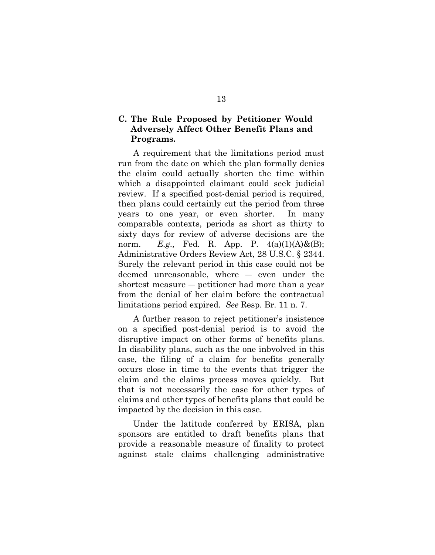### **C. The Rule Proposed by Petitioner Would Adversely Affect Other Benefit Plans and Programs.**

A requirement that the limitations period must run from the date on which the plan formally denies the claim could actually shorten the time within which a disappointed claimant could seek judicial review. If a specified post-denial period is required, then plans could certainly cut the period from three years to one year, or even shorter. In many comparable contexts, periods as short as thirty to sixty days for review of adverse decisions are the norm. *E.g.*, Fed. R. App. P.  $4(a)(1)(A) \& (B);$ Administrative Orders Review Act, 28 U.S.C. § 2344. Surely the relevant period in this case could not be deemed unreasonable, where ― even under the shortest measure ― petitioner had more than a year from the denial of her claim before the contractual limitations period expired. *See* Resp. Br. 11 n. 7.

A further reason to reject petitioner's insistence on a specified post-denial period is to avoid the disruptive impact on other forms of benefits plans. In disability plans, such as the one inbvolved in this case, the filing of a claim for benefits generally occurs close in time to the events that trigger the claim and the claims process moves quickly. But that is not necessarily the case for other types of claims and other types of benefits plans that could be impacted by the decision in this case.

Under the latitude conferred by ERISA, plan sponsors are entitled to draft benefits plans that provide a reasonable measure of finality to protect against stale claims challenging administrative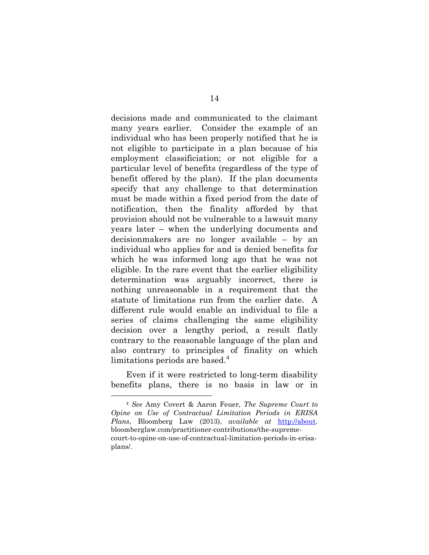decisions made and communicated to the claimant many years earlier. Consider the example of an individual who has been properly notified that he is not eligible to participate in a plan because of his employment classificiation; or not eligible for a particular level of benefits (regardless of the type of benefit offered by the plan). If the plan documents specify that any challenge to that determination must be made within a fixed period from the date of notification, then the finality afforded by that provision should not be vulnerable to a lawsuit many years later – when the underlying documents and decisionmakers are no longer available – by an individual who applies for and is denied benefits for which he was informed long ago that he was not eligible. In the rare event that the earlier eligibility determination was arguably incorrect, there is nothing unreasonable in a requirement that the statute of limitations run from the earlier date. A different rule would enable an individual to file a series of claims challenging the same eligibility decision over a lengthy period, a result flatly contrary to the reasonable language of the plan and also contrary to principles of finality on which limitations periods are based. $4$ 

Even if it were restricted to long-term disability benefits plans, there is no basis in law or in

Ĩ. <sup>4</sup> *See* Amy Covert & Aaron Feuer, *The Supreme Court to Opine on Use of Contractual Limitation Periods in ERISA Plans*, Bloomberg Law (2013), *available at* [http://about.](http://about/) bloomberglaw.com/practitioner-contributions/the-supremecourt-to-opine-on-use-of-contractual-limitation-periods-in-erisaplans/.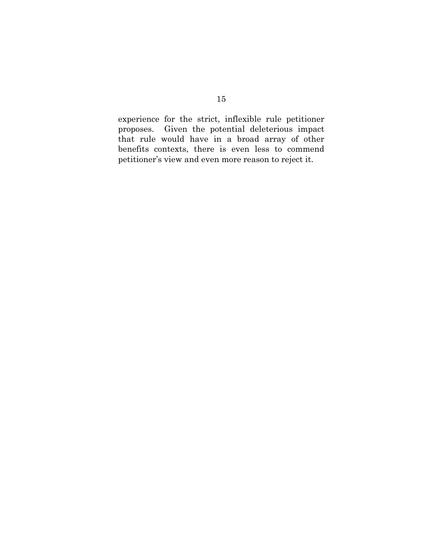experience for the strict, inflexible rule petitioner proposes. Given the potential deleterious impact that rule would have in a broad array of other benefits contexts, there is even less to commend petitioner's view and even more reason to reject it.